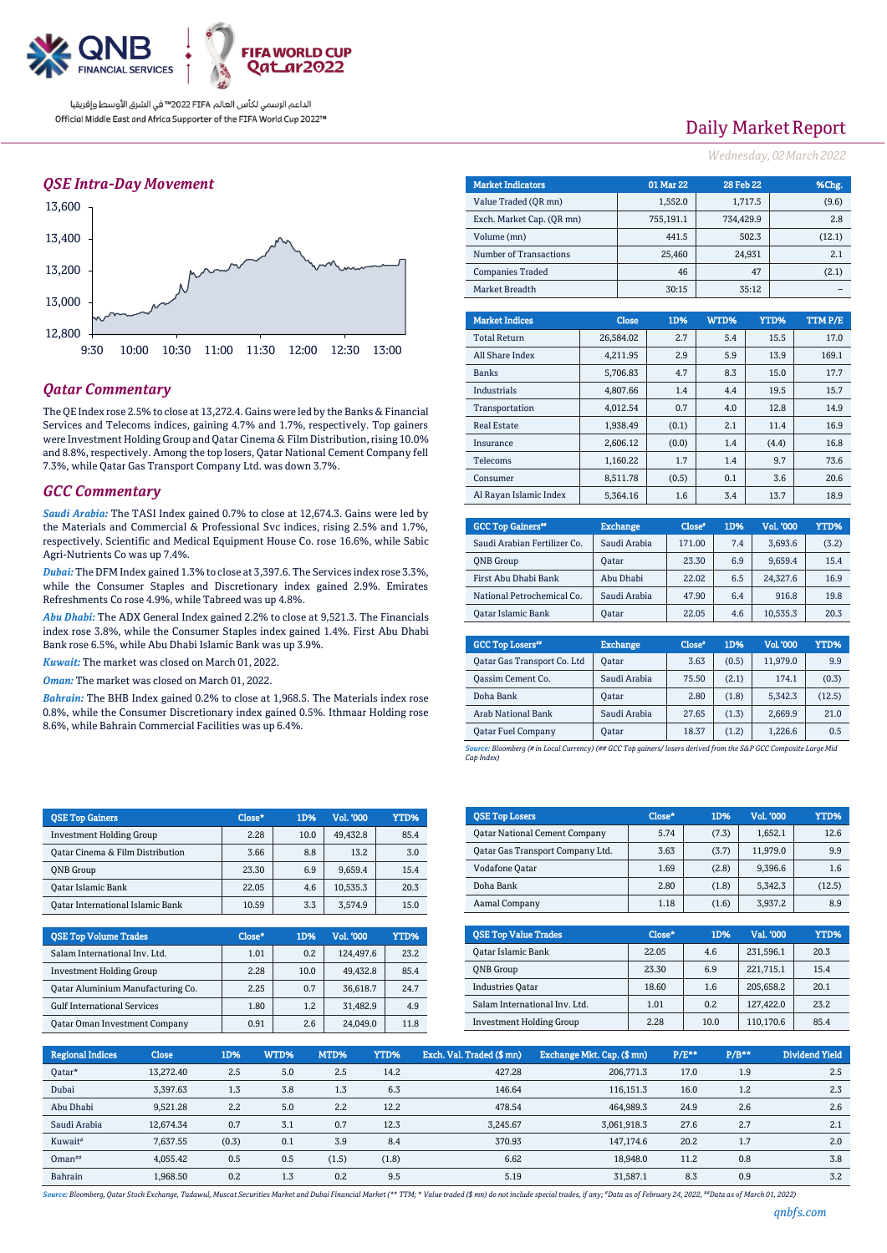

### *QSE Intra-Day Movement*



## *Qatar Commentary*

The QE Index rose 2.5% to close at 13,272.4. Gains were led by the Banks & Financial Services and Telecoms indices, gaining 4.7% and 1.7%, respectively. Top gainers were Investment Holding Group and Qatar Cinema & Film Distribution, rising 10.0% and 8.8%, respectively. Among the top losers, Qatar National Cement Company fell 7.3%, while Qatar Gas Transport Company Ltd. was down 3.7%.

#### *GCC Commentary*

*Saudi Arabia:* The TASI Index gained 0.7% to close at 12,674.3. Gains were led by the Materials and Commercial & Professional Svc indices, rising 2.5% and 1.7%, respectively. Scientific and Medical Equipment House Co. rose 16.6%, while Sabic Agri-Nutrients Co was up 7.4%.

*Dubai:* The DFM Index gained 1.3% to close at 3,397.6. The Services index rose 3.3%, while the Consumer Staples and Discretionary index gained 2.9%. Emirates Refreshments Co rose 4.9%, while Tabreed was up 4.8%.

*Abu Dhabi:* The ADX General Index gained 2.2% to close at 9,521.3. The Financials index rose 3.8%, while the Consumer Staples index gained 1.4%. First Abu Dhabi Bank rose 6.5%, while Abu Dhabi Islamic Bank was up 3.9%.

*Kuwait:* The market was closed on March 01, 2022.

*Oman:* The market was closed on March 01, 2022.

*Bahrain:* The BHB Index gained 0.2% to close at 1,968.5. The Materials index rose 0.8%, while the Consumer Discretionary index gained 0.5%. Ithmaar Holding rose 8.6%, while Bahrain Commercial Facilities was up 6.4%.

| <b>OSE Top Gainers</b>                  | Close* | 1D%  | Vol. '000 | YTD% |
|-----------------------------------------|--------|------|-----------|------|
| <b>Investment Holding Group</b>         | 2.28   | 10.0 | 49.432.8  | 85.4 |
| Oatar Cinema & Film Distribution        | 3.66   | 8.8  | 13.2      | 3.0  |
| <b>ONB</b> Group                        | 23.30  | 6.9  | 9,659.4   | 15.4 |
| <b>Oatar Islamic Bank</b>               | 22.05  | 4.6  | 10.535.3  | 20.3 |
| <b>Qatar International Islamic Bank</b> | 10.59  | 3.3  | 3.574.9   | 15.0 |

| <b>OSE Top Volume Trades</b>         | Close* | 1D%  | Vol. '000 | YTD% |
|--------------------------------------|--------|------|-----------|------|
| Salam International Inv. Ltd.        | 1.01   | 0.2  | 124,497.6 | 23.2 |
| <b>Investment Holding Group</b>      | 2.28   | 10.0 | 49,432.8  | 85.4 |
| Oatar Aluminium Manufacturing Co.    | 2.25   | 0.7  | 36,618.7  | 24.7 |
| <b>Gulf International Services</b>   | 1.80   | 1.2  | 31,482.9  | 4.9  |
| <b>Qatar Oman Investment Company</b> | 0.91   | 2.6  | 24.049.0  | 11.8 |

## Daily Market Report

*Wednesday, 02March2022*

| <b>Market Indicators</b>  |  |              | 01 Mar 22 | <b>28 Feb 22</b> |        | %Chg.   |
|---------------------------|--|--------------|-----------|------------------|--------|---------|
| Value Traded (OR mn)      |  | 1,552.0      |           | 1,717.5          | (9.6)  |         |
| Exch. Market Cap. (QR mn) |  |              | 755,191.1 | 734.429.9        |        | 2.8     |
| Volume (mn)               |  |              | 441.5     |                  | 502.3  | (12.1)  |
| Number of Transactions    |  |              | 25,460    |                  | 24,931 | 2.1     |
| <b>Companies Traded</b>   |  |              | 46        |                  | 47     | (2.1)   |
| Market Breadth            |  |              | 30:15     |                  | 35:12  |         |
|                           |  |              |           |                  |        |         |
| <b>Market Indices</b>     |  | <b>Close</b> | 1D%       | WTD%             | YTD%   | TTM P/E |
| <b>Total Return</b>       |  | 26,584.02    | 2.7       | 5.4              | 15.5   | 17.0    |
| All Share Index           |  | 4.211.95     | 2.9       | 5.9              | 13.9   | 169.1   |
| <b>Banks</b>              |  | 5.706.83     | 4.7       | 8.3              | 15.0   | 17.7    |
| <b>Industrials</b>        |  | 4,807.66     | 1.4       | 4.4              | 19.5   | 15.7    |
| Transportation            |  | 4,012.54     | 0.7       | 4.0              | 12.8   | 14.9    |
| <b>Real Estate</b>        |  | 1,938.49     | (0.1)     | 2.1              | 11.4   | 16.9    |
| Insurance                 |  | 2,606.12     | (0.0)     | 1.4              | (4.4)  | 16.8    |
| Telecoms                  |  | 1,160.22     | 1.7       | 1.4              | 9.7    | 73.6    |
| Consumer                  |  | 8,511.78     | (0.5)     | 0.1              | 3.6    | 20.6    |
| Al Rayan Islamic Index    |  | 5,364.16     | 1.6       | 3.4              | 13.7   | 18.9    |

| <b>GCC Top Gainers</b> "     | <b>Exchange</b> | Close <sup>®</sup> | 1D% | Vol. '000 | YTD%  |
|------------------------------|-----------------|--------------------|-----|-----------|-------|
| Saudi Arabian Fertilizer Co. | Saudi Arabia    | 171.00             | 7.4 | 3.693.6   | (3.2) |
| <b>ONB</b> Group             | Oatar           | 23.30              | 6.9 | 9.659.4   | 15.4  |
| First Abu Dhabi Bank         | Abu Dhabi       | 22.02              | 6.5 | 24.327.6  | 16.9  |
| National Petrochemical Co.   | Saudi Arabia    | 47.90              | 6.4 | 916.8     | 19.8  |
| <b>Oatar Islamic Bank</b>    | <b>Oatar</b>    | 22.05              | 4.6 | 10,535.3  | 20.3  |

| <b>GCC Top Losers</b> "     | <b>Exchange</b> | Close <sup>®</sup> | 1D%   | Vol. '000 | YTD%   |
|-----------------------------|-----------------|--------------------|-------|-----------|--------|
| Qatar Gas Transport Co. Ltd | Oatar           | 3.63               | (0.5) | 11.979.0  | 9.9    |
| <b>Qassim Cement Co.</b>    | Saudi Arabia    | 75.50              | (2.1) | 174.1     | (0.3)  |
| Doha Bank                   | Oatar           | 2.80               | (1.8) | 5.342.3   | (12.5) |
| Arab National Bank          | Saudi Arabia    | 27.65              | (1.3) | 2,669.9   | 21.0   |
| <b>Qatar Fuel Company</b>   | Oatar           | 18.37              | (1.2) | 1.226.6   | 0.5    |

*Source: Bloomberg (# in Local Currency) (## GCC Top gainers/ losers derived from the S&P GCC Composite Large Mid Cap Index)*

| <b>QSE Top Losers</b>                   | Close* | 1D%   | <b>Vol. '000</b> | YTD%   |
|-----------------------------------------|--------|-------|------------------|--------|
| <b>Qatar National Cement Company</b>    | 5.74   | (7.3) | 1.652.1          | 12.6   |
| <b>Qatar Gas Transport Company Ltd.</b> | 3.63   | (3.7) | 11.979.0         | 9.9    |
| <b>Vodafone Qatar</b>                   | 1.69   | (2.8) | 9.396.6          | 1.6    |
| Doha Bank                               | 2.80   | (1.8) | 5,342.3          | (12.5) |
| Aamal Company                           | 1.18   | (1.6) | 3,937.2          | 8.9    |

| <b>OSE Top Value Trades</b>     | Close* | 1D%  | Val. '000 | YTD% |
|---------------------------------|--------|------|-----------|------|
| Qatar Islamic Bank              | 22.05  | 4.6  | 231,596.1 | 20.3 |
| <b>ONB</b> Group                | 23.30  | 6.9  | 221.715.1 | 15.4 |
| <b>Industries Oatar</b>         | 18.60  | 1.6  | 205,658.2 | 20.1 |
| Salam International Inv. Ltd.   | 1.01   | 0.2  | 127,422.0 | 23.2 |
| <b>Investment Holding Group</b> | 2.28   | 10.0 | 110,170.6 | 85.4 |

| <b>Regional Indices</b> | <b>Close</b> | 1D%   | WTD% | MTD%  | <b>YTD%</b> | Exch. Val. Traded (\$mn) | Exchange Mkt. Cap. (\$ mn) | $P/E***$ | $P/B**$ | Dividend Yield |
|-------------------------|--------------|-------|------|-------|-------------|--------------------------|----------------------------|----------|---------|----------------|
| Oatar*                  | 13.272.40    | 2.5   | 5.0  | 2.5   | 14.2        | 427.28                   | 206.771.3                  | 17.0     | 1.9     | 2.5            |
| Dubai                   | 3.397.63     | 1.3   | 3.8  | 1.3   | 6.3         | 146.64                   | 116.151.3                  | 16.0     | 1.2     | 2.3            |
| Abu Dhabi               | 9,521.28     | 2.2   | 5.0  | 2.2   | 12.2        | 478.54                   | 464,989.3                  | 24.9     | 2.6     | 2.6            |
| Saudi Arabia            | 12.674.34    | 0.7   | 3.1  | 0.7   | 12.3        | 3.245.67                 | 3,061,918.3                | 27.6     | 2.7     | 2.1            |
| Kuwait <sup>#</sup>     | 7.637.55     | (0.3) | 0.1  | 3.9   | 8.4         | 370.93                   | 147.174.6                  | 20.2     | 1.7     | 2.0            |
| $O$ man <sup>##</sup>   | 4,055.42     | 0.5   | 0.5  | (1.5) | (1.8)       | 6.62                     | 18.948.0                   | 11.2     | 0.8     | 3.8            |
| Bahrain                 | 1.968.50     | 0.2   | 1.3  | 0.2   | 9.5         | 5.19                     | 31.587.1                   | 8.3      | 0.9     | 3.2            |

Source: Bloomberg, Qatar Stock Exchange, Tadawul, Muscat Securities Market and Dubai Financial Market (\*\* TTM; \* Value traded (\$ mn) do not include special trades, if any; "Data as of February 24, 2022, ""Data as of March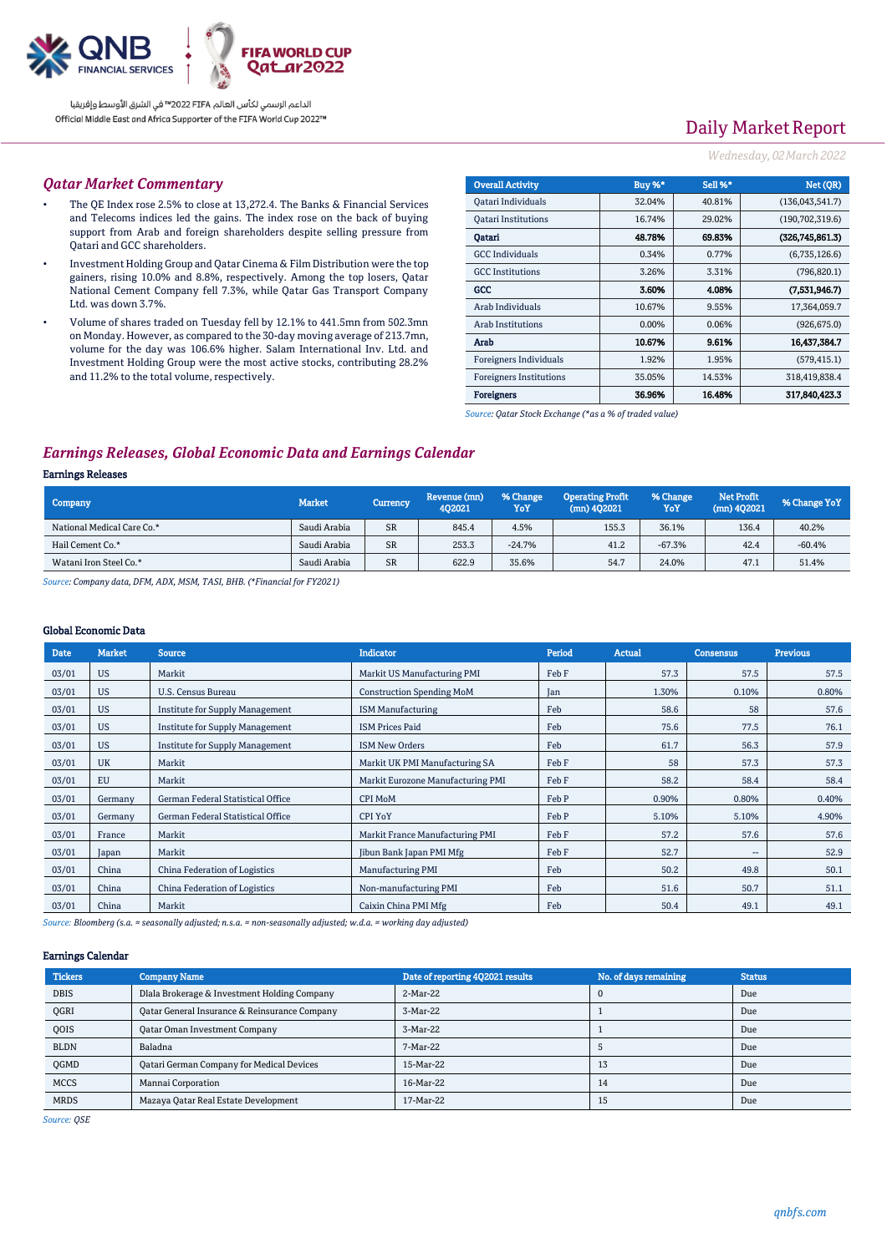

# Daily Market Report

### *Wednesday, 02March2022*

#### *Qatar Market Commentary*

- The QE Index rose 2.5% to close at 13,272.4. The Banks & Financial Services and Telecoms indices led the gains. The index rose on the back of buying support from Arab and foreign shareholders despite selling pressure from Qatari and GCC shareholders.
- Investment Holding Group and Qatar Cinema & Film Distribution were the top gainers, rising 10.0% and 8.8%, respectively. Among the top losers, Qatar National Cement Company fell 7.3%, while Qatar Gas Transport Company Ltd. was down 3.7%.
- Volume of shares traded on Tuesday fell by 12.1% to 441.5mn from 502.3mn on Monday. However, as compared to the 30-day moving average of 213.7mn, volume for the day was 106.6% higher. Salam International Inv. Ltd. and Investment Holding Group were the most active stocks, contributing 28.2% and 11.2% to the total volume, respectively.

| <b>Overall Activity</b>        | Buy %*   | Sell %* | Net (OR)          |
|--------------------------------|----------|---------|-------------------|
| Qatari Individuals             | 32.04%   | 40.81%  | (136,043,541.7)   |
| <b>Qatari Institutions</b>     | 16.74%   | 29.02%  | (190, 702, 319.6) |
| Oatari                         | 48.78%   | 69.83%  | (326,745,861.3)   |
| <b>GCC</b> Individuals         | 0.34%    | 0.77%   | (6,735,126.6)     |
| <b>GCC</b> Institutions        | 3.26%    | 3.31%   | (796, 820.1)      |
| GCC                            | 3.60%    | 4.08%   | (7,531,946.7)     |
| Arab Individuals               | 10.67%   | 9.55%   | 17,364,059.7      |
| <b>Arab Institutions</b>       | $0.00\%$ | 0.06%   | (926, 675.0)      |
| Arab                           | 10.67%   | 9.61%   | 16,437,384.7      |
| Foreigners Individuals         | 1.92%    | 1.95%   | (579, 415.1)      |
| <b>Foreigners Institutions</b> | 35.05%   | 14.53%  | 318,419,838.4     |
| <b>Foreigners</b>              | 36.96%   | 16.48%  | 317,840,423.3     |

*Source: Qatar Stock Exchange (\*as a % of traded value)*

## *Earnings Releases, Global Economic Data and Earnings Calendar*

### Earnings Releases

| Company                    | <b>Market</b> | Currency  | Revenue (mn)<br>402021 | % Change<br>YoY | <b>Operating Profit</b><br>$(mn)$ 402021 | % Change<br>YoY | <b>Net Profit</b><br>$(mn)$ 402021 | % Change YoY |
|----------------------------|---------------|-----------|------------------------|-----------------|------------------------------------------|-----------------|------------------------------------|--------------|
| National Medical Care Co.* | Saudi Arabia  | <b>SR</b> | 845.4                  | 4.5%            | 155.3                                    | 36.1%           | 136.4                              | 40.2%        |
| Hail Cement Co.*           | Saudi Arabia  | <b>SR</b> | 253.3                  | $-24.7%$        | 41.2                                     | $-67.3%$        | 42.4                               | $-60.4%$     |
| Watani Iron Steel Co.*     | Saudi Arabia  | <b>SR</b> | 622.9                  | 35.6%           | 54.7                                     | 24.0%           | 47.1                               | 51.4%        |

*Source: Company data, DFM, ADX, MSM, TASI, BHB. (\*Financial for FY2021)*

#### Global Economic Data

| <b>Date</b> | <b>Market</b> | <b>Source</b>                          | <b>Indicator</b>                  | Period | <b>Actual</b> | <b>Consensus</b>         | <b>Previous</b> |
|-------------|---------------|----------------------------------------|-----------------------------------|--------|---------------|--------------------------|-----------------|
| 03/01       | <b>US</b>     | Markit                                 | Markit US Manufacturing PMI       | Feb F  | 57.3          | 57.5                     | 57.5            |
| 03/01       | <b>US</b>     | U.S. Census Bureau                     | <b>Construction Spending MoM</b>  | Jan    | 1.30%         | 0.10%                    | 0.80%           |
| 03/01       | <b>US</b>     | <b>Institute for Supply Management</b> | <b>ISM Manufacturing</b>          | Feb    | 58.6          | 58                       | 57.6            |
| 03/01       | <b>US</b>     | <b>Institute for Supply Management</b> | <b>ISM Prices Paid</b>            | Feb    | 75.6          | 77.5                     | 76.1            |
| 03/01       | <b>US</b>     | <b>Institute for Supply Management</b> | <b>ISM New Orders</b>             | Feb    | 61.7          | 56.3                     | 57.9            |
| 03/01       | <b>UK</b>     | Markit                                 | Markit UK PMI Manufacturing SA    | Feb F  | 58            | 57.3                     | 57.3            |
| 03/01       | EU            | Markit                                 | Markit Eurozone Manufacturing PMI | Feb F  | 58.2          | 58.4                     | 58.4            |
| 03/01       | Germany       | German Federal Statistical Office      | <b>CPI MoM</b>                    | Feb P  | 0.90%         | 0.80%                    | 0.40%           |
| 03/01       | Germany       | German Federal Statistical Office      | <b>CPI YoY</b>                    | Feb P  | 5.10%         | 5.10%                    | 4.90%           |
| 03/01       | France        | Markit                                 | Markit France Manufacturing PMI   | Feb F  | 57.2          | 57.6                     | 57.6            |
| 03/01       | Japan         | Markit                                 | Jibun Bank Japan PMI Mfg          | Feb F  | 52.7          | $\overline{\phantom{a}}$ | 52.9            |
| 03/01       | China         | China Federation of Logistics          | <b>Manufacturing PMI</b>          | Feb    | 50.2          | 49.8                     | 50.1            |
| 03/01       | China         | China Federation of Logistics          | Non-manufacturing PMI             | Feb    | 51.6          | 50.7                     | 51.1            |
| 03/01       | China         | Markit                                 | Caixin China PMI Mfg              | Feb    | 50.4          | 49.1                     | 49.1            |

*Source: Bloomberg (s.a. = seasonally adjusted; n.s.a. = non-seasonally adjusted; w.d.a. = working day adjusted)*

#### Earnings Calendar

| <b>Tickers</b> | <b>Company Name</b>                              | Date of reporting 4Q2021 results | No. of days remaining | <b>Status</b> |
|----------------|--------------------------------------------------|----------------------------------|-----------------------|---------------|
| <b>DBIS</b>    | Dlala Brokerage & Investment Holding Company     | 2-Mar-22                         | C                     | Due           |
| <b>OGRI</b>    | Qatar General Insurance & Reinsurance Company    | 3-Mar-22                         |                       | Due           |
| QOIS           | <b>Qatar Oman Investment Company</b>             | 3-Mar-22                         |                       | Due           |
| <b>BLDN</b>    | Baladna                                          | 7-Mar-22                         |                       | Due           |
| <b>OGMD</b>    | <b>Qatari German Company for Medical Devices</b> | 15-Mar-22                        | 13                    | Due           |
| <b>MCCS</b>    | Mannai Corporation                               | 16-Mar-22                        | 14                    | Due           |
| <b>MRDS</b>    | Mazaya Qatar Real Estate Development             | 17-Mar-22                        | 15                    | Due           |

*Source: QSE*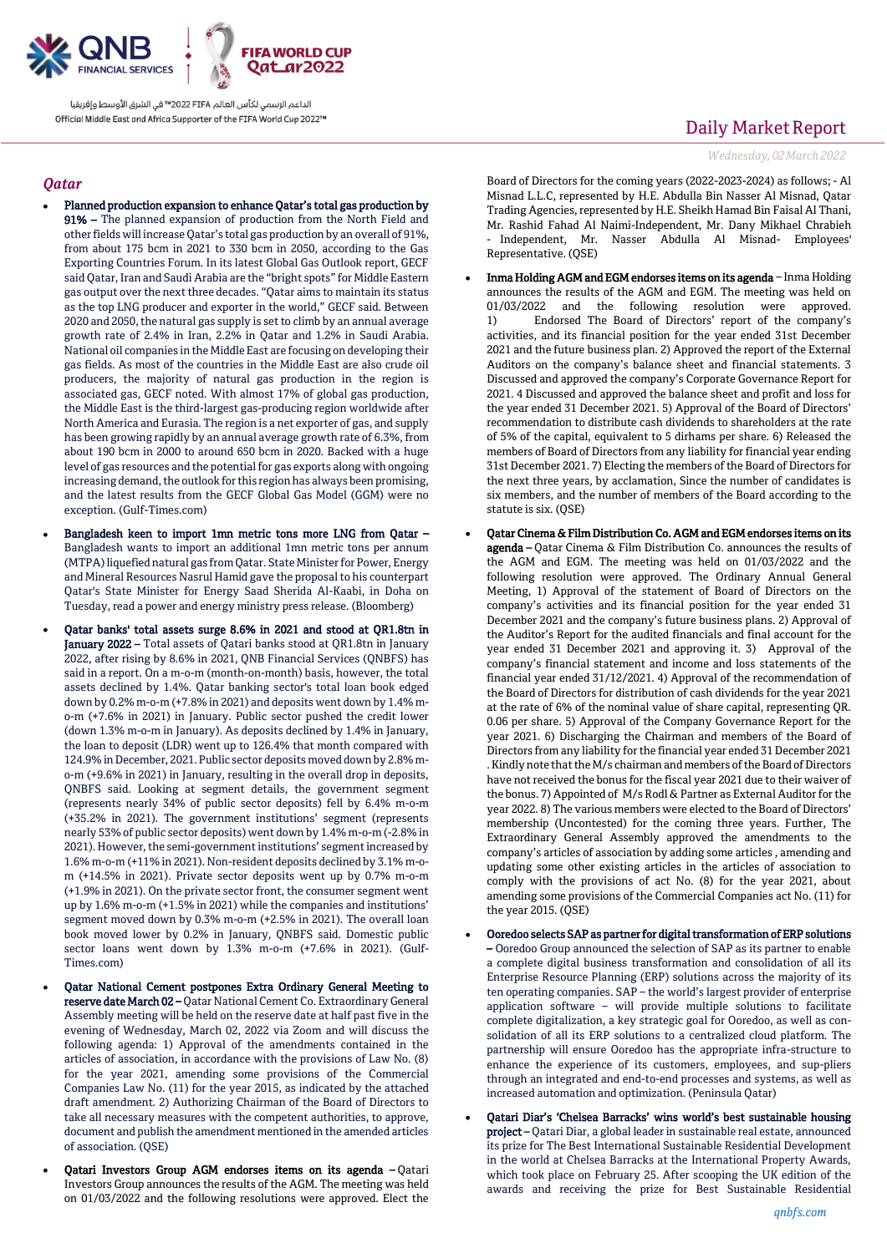

### *Qatar*

- Planned production expansion to enhance Qatar's total gas production by 91% – The planned expansion of production from the North Field and other fields will increase Qatar's total gas production by an overall of 91%, from about 175 bcm in 2021 to 330 bcm in 2050, according to the Gas Exporting Countries Forum. In its latest Global Gas Outlook report, GECF said Qatar, Iran and Saudi Arabia are the "bright spots" for Middle Eastern gas output over the next three decades. "Qatar aims to maintain its status as the top LNG producer and exporter in the world," GECF said. Between 2020 and 2050, the natural gas supply is set to climb by an annual average growth rate of 2.4% in Iran, 2.2% in Qatar and 1.2% in Saudi Arabia. National oil companies in the Middle East are focusing on developing their gas fields. As most of the countries in the Middle East are also crude oil producers, the majority of natural gas production in the region is associated gas, GECF noted. With almost 17% of global gas production, the Middle East is the third-largest gas-producing region worldwide after North America and Eurasia. The region is a net exporter of gas, and supply has been growing rapidly by an annual average growth rate of 6.3%, from about 190 bcm in 2000 to around 650 bcm in 2020. Backed with a huge level of gas resources and the potential for gas exports along with ongoing increasing demand, the outlook for this region has always been promising, and the latest results from the GECF Global Gas Model (GGM) were no exception. (Gulf-Times.com)
- Bangladesh keen to import 1mn metric tons more LNG from Qatar Bangladesh wants to import an additional 1mn metric tons per annum (MTPA) liquefied natural gas from Qatar. State Minister for Power, Energy and Mineral Resources Nasrul Hamid gave the proposal to his counterpart Qatar's State Minister for Energy Saad Sherida Al-Kaabi, in Doha on Tuesday, read a power and energy ministry press release. (Bloomberg)
- Qatar banks' total assets surge 8.6% in 2021 and stood at QR1.8tn in January 2022 – Total assets of Qatari banks stood at QR1.8tn in January 2022, after rising by 8.6% in 2021, QNB Financial Services (QNBFS) has said in a report. On a m-o-m (month-on-month) basis, however, the total assets declined by 1.4%. Qatar banking sector's total loan book edged down by 0.2% m-o-m (+7.8% in 2021) and deposits went down by 1.4% mo-m (+7.6% in 2021) in January. Public sector pushed the credit lower (down 1.3% m-o-m in January). As deposits declined by 1.4% in January, the loan to deposit (LDR) went up to 126.4% that month compared with 124.9% in December, 2021. Public sector deposits moved down by 2.8% mo-m (+9.6% in 2021) in January, resulting in the overall drop in deposits, QNBFS said. Looking at segment details, the government segment (represents nearly 34% of public sector deposits) fell by 6.4% m-o-m (+35.2% in 2021). The government institutions' segment (represents nearly 53% of public sector deposits) went down by 1.4% m-o-m (-2.8% in 2021). However, the semi-government institutions' segment increased by 1.6% m-o-m (+11% in 2021). Non-resident deposits declined by 3.1% m-om (+14.5% in 2021). Private sector deposits went up by 0.7% m-o-m (+1.9% in 2021). On the private sector front, the consumer segment went up by 1.6% m-o-m (+1.5% in 2021) while the companies and institutions' segment moved down by 0.3% m-o-m (+2.5% in 2021). The overall loan book moved lower by 0.2% in January, QNBFS said. Domestic public sector loans went down by 1.3% m-o-m (+7.6% in 2021). (Gulf-Times.com)
- Qatar National Cement postpones Extra Ordinary General Meeting to reserve date March 02 – Qatar National Cement Co. Extraordinary General Assembly meeting will be held on the reserve date at half past five in the evening of Wednesday, March 02, 2022 via Zoom and will discuss the following agenda: 1) Approval of the amendments contained in the articles of association, in accordance with the provisions of Law No. (8) for the year 2021, amending some provisions of the Commercial Companies Law No. (11) for the year 2015, as indicated by the attached draft amendment. 2) Authorizing Chairman of the Board of Directors to take all necessary measures with the competent authorities, to approve, document and publish the amendment mentioned in the amended articles of association. (QSE)
- Qatari Investors Group AGM endorses items on its agenda Qatari Investors Group announces the results of the AGM. The meeting was held on 01/03/2022 and the following resolutions were approved. Elect the

## Daily Market Report

*Wednesday, 02March2022*

Board of Directors for the coming years (2022-2023-2024) as follows; - Al Misnad L.L.C, represented by H.E. Abdulla Bin Nasser Al Misnad, Qatar Trading Agencies, represented by H.E. Sheikh Hamad Bin Faisal Al Thani, Mr. Rashid Fahad Al Naimi-Independent, Mr. Dany Mikhael Chrabieh - Independent, Mr. Nasser Abdulla Al Misnad- Employees' Representative. (QSE)

- Inma Holding AGM and EGM endorses items on its agenda Inma Holding announces the results of the AGM and EGM. The meeting was held on 01/03/2022 and the following resolution were approved. 1) Endorsed The Board of Directors' report of the company's activities, and its financial position for the year ended 31st December 2021 and the future business plan. 2) Approved the report of the External Auditors on the company's balance sheet and financial statements. 3 Discussed and approved the company's Corporate Governance Report for 2021. 4 Discussed and approved the balance sheet and profit and loss for the year ended 31 December 2021. 5) Approval of the Board of Directors' recommendation to distribute cash dividends to shareholders at the rate of 5% of the capital, equivalent to 5 dirhams per share. 6) Released the members of Board of Directors from any liability for financial year ending 31st December 2021. 7) Electing the members of the Board of Directors for the next three years, by acclamation, Since the number of candidates is six members, and the number of members of the Board according to the statute is six. (QSE)
- Qatar Cinema & Film Distribution Co. AGM and EGM endorses items on its agenda – Qatar Cinema & Film Distribution Co. announces the results of the AGM and EGM. The meeting was held on 01/03/2022 and the following resolution were approved. The Ordinary Annual General Meeting, 1) Approval of the statement of Board of Directors on the company's activities and its financial position for the year ended 31 December 2021 and the company's future business plans. 2) Approval of the Auditor's Report for the audited financials and final account for the year ended 31 December 2021 and approving it. 3) Approval of the company's financial statement and income and loss statements of the financial year ended 31/12/2021. 4) Approval of the recommendation of the Board of Directors for distribution of cash dividends for the year 2021 at the rate of 6% of the nominal value of share capital, representing QR. 0.06 per share. 5) Approval of the Company Governance Report for the year 2021. 6) Discharging the Chairman and members of the Board of Directors from any liability for the financial year ended 31 December 2021 . Kindly note that the M/s chairman and members of the Board of Directors have not received the bonus for the fiscal year 2021 due to their waiver of the bonus. 7) Appointed of M/s Rodl & Partner as External Auditor for the year 2022. 8) The various members were elected to the Board of Directors' membership (Uncontested) for the coming three years. Further, The Extraordinary General Assembly approved the amendments to the company's articles of association by adding some articles , amending and updating some other existing articles in the articles of association to comply with the provisions of act No. (8) for the year 2021, about amending some provisions of the Commercial Companies act No. (11) for the year 2015. (QSE)
- Ooredoo selects SAP as partner for digital transformation of ERP solutions – Ooredoo Group announced the selection of SAP as its partner to enable a complete digital business transformation and consolidation of all its Enterprise Resource Planning (ERP) solutions across the majority of its ten operating companies. SAP – the world's largest provider of enterprise application software – will provide multiple solutions to facilitate complete digitalization, a key strategic goal for Ooredoo, as well as consolidation of all its ERP solutions to a centralized cloud platform. The partnership will ensure Ooredoo has the appropriate infra-structure to enhance the experience of its customers, employees, and sup-pliers through an integrated and end-to-end processes and systems, as well as increased automation and optimization. (Peninsula Qatar)
- Qatari Diar's 'Chelsea Barracks' wins world's best sustainable housing project – Qatari Diar, a global leader in sustainable real estate, announced its prize for The Best International Sustainable Residential Development in the world at Chelsea Barracks at the International Property Awards, which took place on February 25. After scooping the UK edition of the awards and receiving the prize for Best Sustainable Residential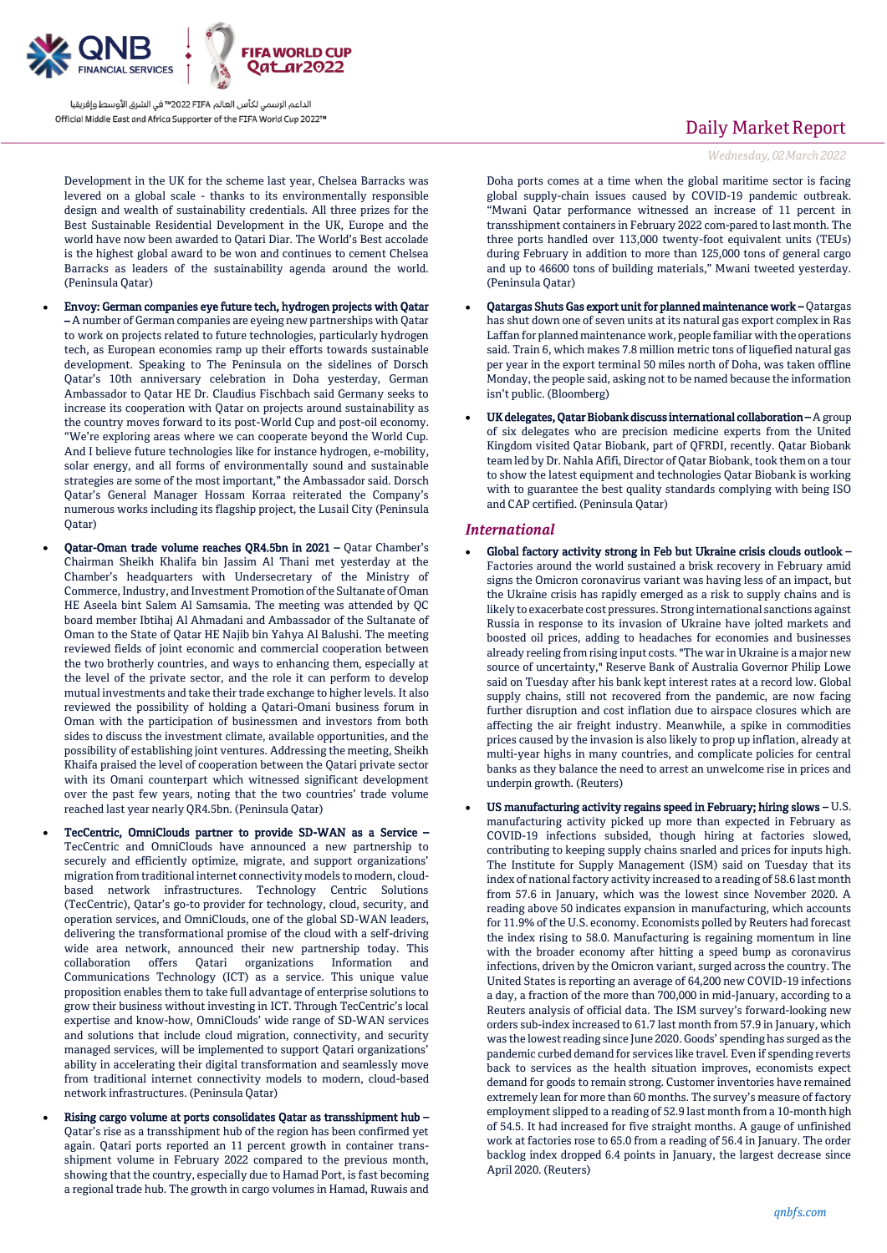

Development in the UK for the scheme last year, Chelsea Barracks was levered on a global scale - thanks to its environmentally responsible design and wealth of sustainability credentials. All three prizes for the Best Sustainable Residential Development in the UK, Europe and the world have now been awarded to Qatari Diar. The World's Best accolade is the highest global award to be won and continues to cement Chelsea Barracks as leaders of the sustainability agenda around the world. (Peninsula Qatar)

- Envoy: German companies eye future tech, hydrogen projects with Qatar – A number of German companies are eyeing new partnerships with Qatar to work on projects related to future technologies, particularly hydrogen tech, as European economies ramp up their efforts towards sustainable development. Speaking to The Peninsula on the sidelines of Dorsch Qatar's 10th anniversary celebration in Doha yesterday, German Ambassador to Qatar HE Dr. Claudius Fischbach said Germany seeks to increase its cooperation with Qatar on projects around sustainability as the country moves forward to its post-World Cup and post-oil economy. "We're exploring areas where we can cooperate beyond the World Cup. And I believe future technologies like for instance hydrogen, e-mobility, solar energy, and all forms of environmentally sound and sustainable strategies are some of the most important," the Ambassador said. Dorsch Qatar's General Manager Hossam Korraa reiterated the Company's numerous works including its flagship project, the Lusail City (Peninsula Qatar)
- Qatar-Oman trade volume reaches QR4.5bn in 2021 Qatar Chamber's Chairman Sheikh Khalifa bin Jassim Al Thani met yesterday at the Chamber's headquarters with Undersecretary of the Ministry of Commerce, Industry, and Investment Promotion of the Sultanate of Oman HE Aseela bint Salem Al Samsamia. The meeting was attended by QC board member Ibtihaj Al Ahmadani and Ambassador of the Sultanate of Oman to the State of Qatar HE Najib bin Yahya Al Balushi. The meeting reviewed fields of joint economic and commercial cooperation between the two brotherly countries, and ways to enhancing them, especially at the level of the private sector, and the role it can perform to develop mutual investments and take their trade exchange to higher levels. It also reviewed the possibility of holding a Qatari-Omani business forum in Oman with the participation of businessmen and investors from both sides to discuss the investment climate, available opportunities, and the possibility of establishing joint ventures. Addressing the meeting, Sheikh Khaifa praised the level of cooperation between the Qatari private sector with its Omani counterpart which witnessed significant development over the past few years, noting that the two countries' trade volume reached last year nearly QR4.5bn. (Peninsula Qatar)
- TecCentric, OmniClouds partner to provide SD-WAN as a Service TecCentric and OmniClouds have announced a new partnership to securely and efficiently optimize, migrate, and support organizations' migration from traditional internet connectivity models to modern, cloudbased network infrastructures. Technology Centric Solutions (TecCentric), Qatar's go-to provider for technology, cloud, security, and operation services, and OmniClouds, one of the global SD-WAN leaders, delivering the transformational promise of the cloud with a self-driving wide area network, announced their new partnership today. This collaboration offers Qatari organizations Information and Communications Technology (ICT) as a service. This unique value proposition enables them to take full advantage of enterprise solutions to grow their business without investing in ICT. Through TecCentric's local expertise and know-how, OmniClouds' wide range of SD-WAN services and solutions that include cloud migration, connectivity, and security managed services, will be implemented to support Qatari organizations' ability in accelerating their digital transformation and seamlessly move from traditional internet connectivity models to modern, cloud-based network infrastructures. (Peninsula Qatar)
- Rising cargo volume at ports consolidates Qatar as transshipment hub Qatar's rise as a transshipment hub of the region has been confirmed yet again. Qatari ports reported an 11 percent growth in container transshipment volume in February 2022 compared to the previous month, showing that the country, especially due to Hamad Port, is fast becoming a regional trade hub. The growth in cargo volumes in Hamad, Ruwais and

## Daily Market Report

*Wednesday, 02March2022*

Doha ports comes at a time when the global maritime sector is facing global supply-chain issues caused by COVID-19 pandemic outbreak. "Mwani Qatar performance witnessed an increase of 11 percent in transshipment containers in February 2022 com-pared to last month. The three ports handled over 113,000 twenty-foot equivalent units (TEUs) during February in addition to more than 125,000 tons of general cargo and up to 46600 tons of building materials," Mwani tweeted yesterday. (Peninsula Qatar)

- Qatargas Shuts Gas export unit for planned maintenance work Qatargas has shut down one of seven units at its natural gas export complex in Ras Laffan for planned maintenance work, people familiar with the operations said. Train 6, which makes 7.8 million metric tons of liquefied natural gas per year in the export terminal 50 miles north of Doha, was taken offline Monday, the people said, asking not to be named because the information isn't public. (Bloomberg)
- UK delegates, Qatar Biobank discuss international collaboration A group of six delegates who are precision medicine experts from the United Kingdom visited Qatar Biobank, part of QFRDI, recently. Qatar Biobank team led by Dr. Nahla Afifi, Director of Qatar Biobank, took them on a tour to show the latest equipment and technologies Qatar Biobank is working with to guarantee the best quality standards complying with being ISO and CAP certified. (Peninsula Qatar)

### *International*

- Global factory activity strong in Feb but Ukraine crisis clouds outlook Factories around the world sustained a brisk recovery in February amid signs the Omicron coronavirus variant was having less of an impact, but the Ukraine crisis has rapidly emerged as a risk to supply chains and is likely to exacerbate cost pressures. Strong international sanctions against Russia in response to its invasion of Ukraine have jolted markets and boosted oil prices, adding to headaches for economies and businesses already reeling from rising input costs. "The war in Ukraine is a major new source of uncertainty," Reserve Bank of Australia Governor Philip Lowe said on Tuesday after his bank kept interest rates at a record low. Global supply chains, still not recovered from the pandemic, are now facing further disruption and cost inflation due to airspace closures which are affecting the air freight industry. Meanwhile, a spike in commodities prices caused by the invasion is also likely to prop up inflation, already at multi-year highs in many countries, and complicate policies for central banks as they balance the need to arrest an unwelcome rise in prices and underpin growth. (Reuters)
- US manufacturing activity regains speed in February; hiring slows U.S. manufacturing activity picked up more than expected in February as COVID-19 infections subsided, though hiring at factories slowed, contributing to keeping supply chains snarled and prices for inputs high. The Institute for Supply Management (ISM) said on Tuesday that its index of national factory activity increased to a reading of 58.6 last month from 57.6 in January, which was the lowest since November 2020. A reading above 50 indicates expansion in manufacturing, which accounts for 11.9% of the U.S. economy. Economists polled by Reuters had forecast the index rising to 58.0. Manufacturing is regaining momentum in line with the broader economy after hitting a speed bump as coronavirus infections, driven by the Omicron variant, surged across the country. The United States is reporting an average of 64,200 new COVID-19 infections a day, a fraction of the more than 700,000 in mid-January, according to a Reuters analysis of official data. The ISM survey's forward-looking new orders sub-index increased to 61.7 last month from 57.9 in January, which was the lowest reading since June 2020. Goods' spending has surged as the pandemic curbed demand for services like travel. Even if spending reverts back to services as the health situation improves, economists expect demand for goods to remain strong. Customer inventories have remained extremely lean for more than 60 months. The survey's measure of factory employment slipped to a reading of 52.9 last month from a 10-month high of 54.5. It had increased for five straight months. A gauge of unfinished work at factories rose to 65.0 from a reading of 56.4 in January. The order backlog index dropped 6.4 points in January, the largest decrease since April 2020. (Reuters)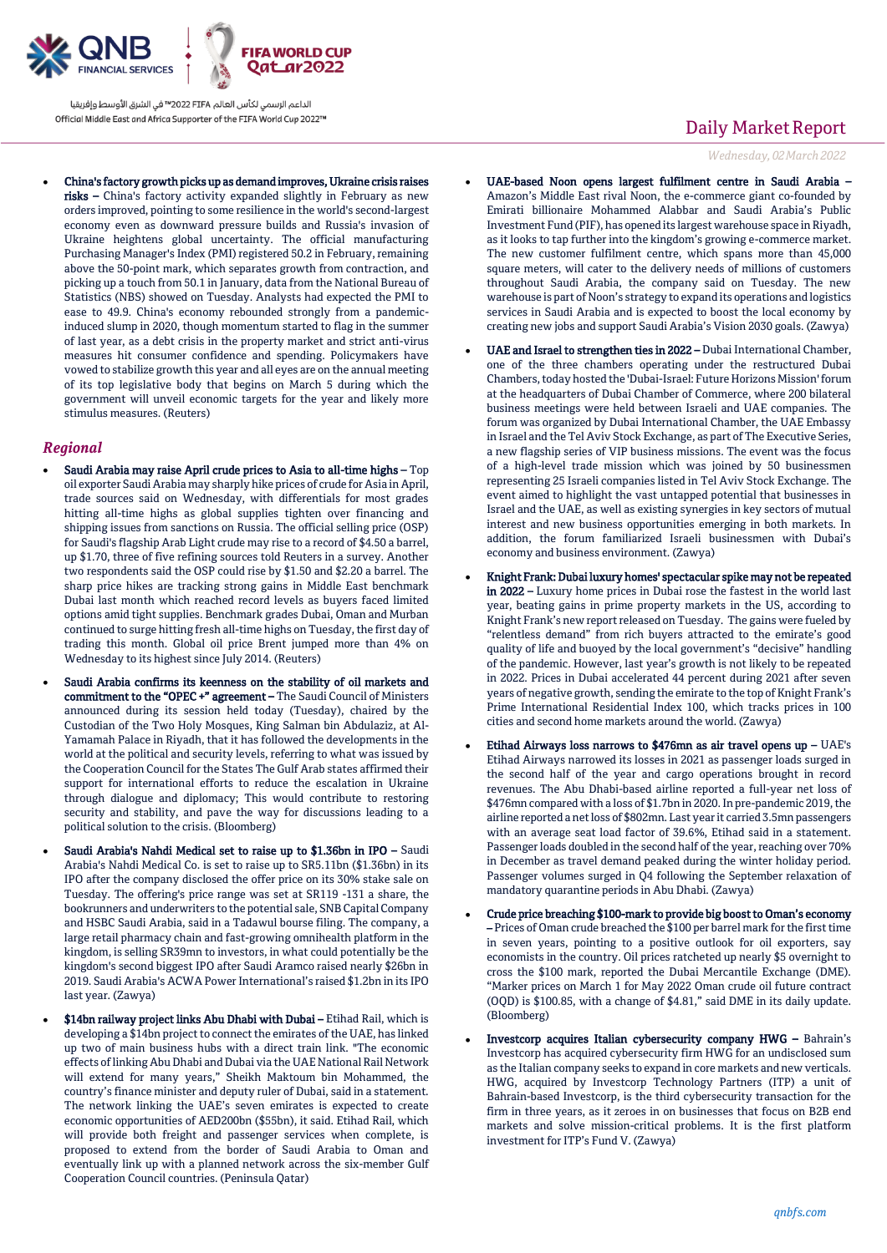

 China's factory growth picks up as demand improves, Ukraine crisis raises risks – China's factory activity expanded slightly in February as new orders improved, pointing to some resilience in the world's second-largest economy even as downward pressure builds and Russia's invasion of Ukraine heightens global uncertainty. The official manufacturing Purchasing Manager's Index (PMI) registered 50.2 in February, remaining above the 50-point mark, which separates growth from contraction, and picking up a touch from 50.1 in January, data from the National Bureau of Statistics (NBS) showed on Tuesday. Analysts had expected the PMI to ease to 49.9. China's economy rebounded strongly from a pandemicinduced slump in 2020, though momentum started to flag in the summer of last year, as a debt crisis in the property market and strict anti-virus measures hit consumer confidence and spending. Policymakers have vowed to stabilize growth this year and all eyes are on the annual meeting of its top legislative body that begins on March 5 during which the government will unveil economic targets for the year and likely more stimulus measures. (Reuters)

## *Regional*

- Saudi Arabia may raise April crude prices to Asia to all-time highs Top oil exporter Saudi Arabia may sharply hike prices of crude for Asia in April, trade sources said on Wednesday, with differentials for most grades hitting all-time highs as global supplies tighten over financing and shipping issues from sanctions on Russia. The official selling price (OSP) for Saudi's flagship Arab Light crude may rise to a record of \$4.50 a barrel, up \$1.70, three of five refining sources told Reuters in a survey. Another two respondents said the OSP could rise by \$1.50 and \$2.20 a barrel. The sharp price hikes are tracking strong gains in Middle East benchmark Dubai last month which reached record levels as buyers faced limited options amid tight supplies. Benchmark grades Dubai, Oman and Murban continued to surge hitting fresh all-time highs on Tuesday, the first day of trading this month. Global oil price Brent jumped more than 4% on Wednesday to its highest since July 2014. (Reuters)
- Saudi Arabia confirms its keenness on the stability of oil markets and commitment to the "OPEC +" agreement - The Saudi Council of Ministers announced during its session held today (Tuesday), chaired by the Custodian of the Two Holy Mosques, King Salman bin Abdulaziz, at Al-Yamamah Palace in Riyadh, that it has followed the developments in the world at the political and security levels, referring to what was issued by the Cooperation Council for the States The Gulf Arab states affirmed their support for international efforts to reduce the escalation in Ukraine through dialogue and diplomacy; This would contribute to restoring security and stability, and pave the way for discussions leading to a political solution to the crisis. (Bloomberg)
- Saudi Arabia's Nahdi Medical set to raise up to \$1.36bn in IPO Saudi Arabia's Nahdi Medical Co. is set to raise up to SR5.11bn (\$1.36bn) in its IPO after the company disclosed the offer price on its 30% stake sale on Tuesday. The offering's price range was set at SR119 -131 a share, the bookrunners and underwriters to the potential sale, SNB Capital Company and HSBC Saudi Arabia, said in a Tadawul bourse filing. The company, a large retail pharmacy chain and fast-growing omnihealth platform in the kingdom, is selling SR39mn to investors, in what could potentially be the kingdom's second biggest IPO after Saudi Aramco raised nearly \$26bn in 2019. Saudi Arabia's ACWA Power International's raised \$1.2bn in its IPO last year. (Zawya)
- \$14bn railway project links Abu Dhabi with Dubai Etihad Rail, which is developing a \$14bn project to connect the emirates of the UAE, has linked up two of main business hubs with a direct train link. "The economic effects of linking Abu Dhabi and Dubai via the UAE National Rail Network will extend for many years," Sheikh Maktoum bin Mohammed, the country's finance minister and deputy ruler of Dubai, said in a statement. The network linking the UAE's seven emirates is expected to create economic opportunities of AED200bn (\$55bn), it said. Etihad Rail, which will provide both freight and passenger services when complete, is proposed to extend from the border of Saudi Arabia to Oman and eventually link up with a planned network across the six-member Gulf Cooperation Council countries. (Peninsula Qatar)

## Daily Market Report

*Wednesday, 02March2022*

- UAE-based Noon opens largest fulfilment centre in Saudi Arabia Amazon's Middle East rival Noon, the e-commerce giant co-founded by Emirati billionaire Mohammed Alabbar and Saudi Arabia's Public Investment Fund (PIF), has opened its largest warehouse space in Riyadh, as it looks to tap further into the kingdom's growing e-commerce market. The new customer fulfilment centre, which spans more than 45,000 square meters, will cater to the delivery needs of millions of customers throughout Saudi Arabia, the company said on Tuesday. The new warehouse is part of Noon's strategy to expand its operations and logistics services in Saudi Arabia and is expected to boost the local economy by creating new jobs and support Saudi Arabia's Vision 2030 goals. (Zawya)
- UAE and Israel to strengthen ties in 2022 Dubai International Chamber, one of the three chambers operating under the restructured Dubai Chambers, today hosted the 'Dubai-Israel: Future Horizons Mission' forum at the headquarters of Dubai Chamber of Commerce, where 200 bilateral business meetings were held between Israeli and UAE companies. The forum was organized by Dubai International Chamber, the UAE Embassy in Israel and the Tel Aviv Stock Exchange, as part of The Executive Series, a new flagship series of VIP business missions. The event was the focus of a high-level trade mission which was joined by 50 businessmen representing 25 Israeli companies listed in Tel Aviv Stock Exchange. The event aimed to highlight the vast untapped potential that businesses in Israel and the UAE, as well as existing synergies in key sectors of mutual interest and new business opportunities emerging in both markets. In addition, the forum familiarized Israeli businessmen with Dubai's economy and business environment. (Zawya)
- Knight Frank: Dubai luxury homes' spectacular spike may not be repeated in 2022 – Luxury home prices in Dubai rose the fastest in the world last year, beating gains in prime property markets in the US, according to Knight Frank's new report released on Tuesday. The gains were fueled by "relentless demand" from rich buyers attracted to the emirate's good quality of life and buoyed by the local government's "decisive" handling of the pandemic. However, last year's growth is not likely to be repeated in 2022. Prices in Dubai accelerated 44 percent during 2021 after seven years of negative growth, sending the emirate to the top of Knight Frank's Prime International Residential Index 100, which tracks prices in 100 cities and second home markets around the world. (Zawya)
- Etihad Airways loss narrows to \$476mn as air travel opens up UAE's Etihad Airways narrowed its losses in 2021 as passenger loads surged in the second half of the year and cargo operations brought in record revenues. The Abu Dhabi-based airline reported a full-year net loss of \$476mn compared with a loss of \$1.7bn in 2020. In pre-pandemic 2019, the airline reported a net loss of \$802mn. Last year it carried 3.5mn passengers with an average seat load factor of 39.6%, Etihad said in a statement. Passenger loads doubled in the second half of the year, reaching over 70% in December as travel demand peaked during the winter holiday period. Passenger volumes surged in Q4 following the September relaxation of mandatory quarantine periods in Abu Dhabi. (Zawya)
- Crude price breaching \$100-mark to provide big boost to Oman's economy – Prices of Oman crude breached the \$100 per barrel mark for the first time in seven years, pointing to a positive outlook for oil exporters, say economists in the country. Oil prices ratcheted up nearly \$5 overnight to cross the \$100 mark, reported the Dubai Mercantile Exchange (DME). "Marker prices on March 1 for May 2022 Oman crude oil future contract (OQD) is \$100.85, with a change of \$4.81," said DME in its daily update. (Bloomberg)
- Investcorp acquires Italian cybersecurity company HWG Bahrain's Investcorp has acquired cybersecurity firm HWG for an undisclosed sum as the Italian company seeks to expand in core markets and new verticals. HWG, acquired by Investcorp Technology Partners (ITP) a unit of Bahrain-based Investcorp, is the third cybersecurity transaction for the firm in three years, as it zeroes in on businesses that focus on B2B end markets and solve mission-critical problems. It is the first platform investment for ITP's Fund V. (Zawya)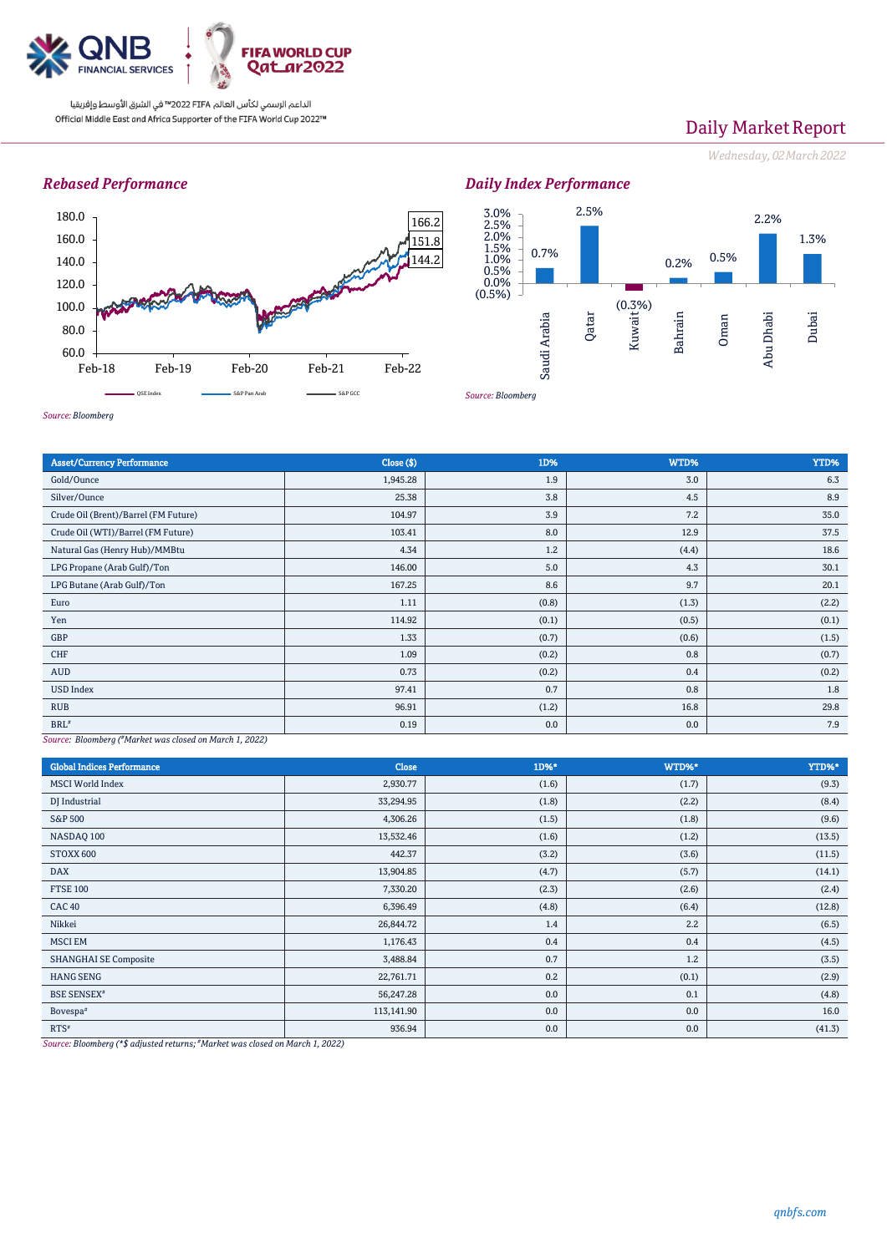

# Daily Market Report

*Wednesday, 02March2022*

## *Rebased Performance*



*Source: Bloomberg*





*Source: Bloomberg*

| <b>Asset/Currency Performance</b>                       | Close (\$) | 1D%   | WTD%  | YTD%  |  |  |
|---------------------------------------------------------|------------|-------|-------|-------|--|--|
| Gold/Ounce                                              | 1,945.28   | 1.9   | 3.0   | 6.3   |  |  |
| Silver/Ounce                                            | 25.38      | 3.8   | 4.5   | 8.9   |  |  |
| Crude Oil (Brent)/Barrel (FM Future)                    | 104.97     | 3.9   | 7.2   | 35.0  |  |  |
| Crude Oil (WTI)/Barrel (FM Future)                      | 103.41     | 8.0   | 12.9  | 37.5  |  |  |
| Natural Gas (Henry Hub)/MMBtu                           | 4.34       | 1.2   | (4.4) | 18.6  |  |  |
| LPG Propane (Arab Gulf)/Ton                             | 146.00     | 5.0   | 4.3   | 30.1  |  |  |
| LPG Butane (Arab Gulf)/Ton                              | 167.25     | 8.6   | 9.7   | 20.1  |  |  |
| Euro                                                    | 1.11       | (0.8) | (1.3) | (2.2) |  |  |
| Yen                                                     | 114.92     | (0.1) | (0.5) | (0.1) |  |  |
| GBP                                                     | 1.33       | (0.7) | (0.6) | (1.5) |  |  |
| CHF                                                     | 1.09       | (0.2) | 0.8   | (0.7) |  |  |
| AUD                                                     | 0.73       | (0.2) | 0.4   | (0.2) |  |  |
| <b>USD Index</b>                                        | 97.41      | 0.7   | 0.8   | 1.8   |  |  |
| <b>RUB</b>                                              | 96.91      | (1.2) | 16.8  | 29.8  |  |  |
| $\mathrm{BRL}^n$                                        | 0.19       | 0.0   | 0.0   | 7.9   |  |  |
| Source: Bloomberg (#Marbet was closed on March 1, 2022) |            |       |       |       |  |  |

*Source: Bloomberg ( #Market was closed on March 1, 2022)*

| <b>Global Indices Performance</b> | <b>Close</b> | 1D%*  | WTD%* | YTD%*  |
|-----------------------------------|--------------|-------|-------|--------|
| <b>MSCI</b> World Index           | 2,930.77     | (1.6) | (1.7) | (9.3)  |
| DJ Industrial                     | 33,294.95    | (1.8) | (2.2) | (8.4)  |
| S&P 500                           | 4,306.26     | (1.5) | (1.8) | (9.6)  |
| NASDAQ 100                        | 13,532.46    | (1.6) | (1.2) | (13.5) |
| STOXX 600                         | 442.37       | (3.2) | (3.6) | (11.5) |
| <b>DAX</b>                        | 13,904.85    | (4.7) | (5.7) | (14.1) |
| <b>FTSE 100</b>                   | 7,330.20     | (2.3) | (2.6) | (2.4)  |
| <b>CAC 40</b>                     | 6,396.49     | (4.8) | (6.4) | (12.8) |
| Nikkei                            | 26,844.72    | 1.4   | 2.2   | (6.5)  |
| <b>MSCI EM</b>                    | 1,176.43     | 0.4   | 0.4   | (4.5)  |
| <b>SHANGHAI SE Composite</b>      | 3,488.84     | 0.7   | 1.2   | (3.5)  |
| <b>HANG SENG</b>                  | 22,761.71    | 0.2   | (0.1) | (2.9)  |
| <b>BSE SENSEX</b> <sup>#</sup>    | 56,247.28    | 0.0   | 0.1   | (4.8)  |
| Bovespa <sup>#</sup>              | 113,141.90   | 0.0   | 0.0   | 16.0   |
| $RTS^*$                           | 936.94       | 0.0   | 0.0   | (41.3) |

*Source: Bloomberg (\*\$ adjusted returns; #Market was closed on March 1, 2022)*